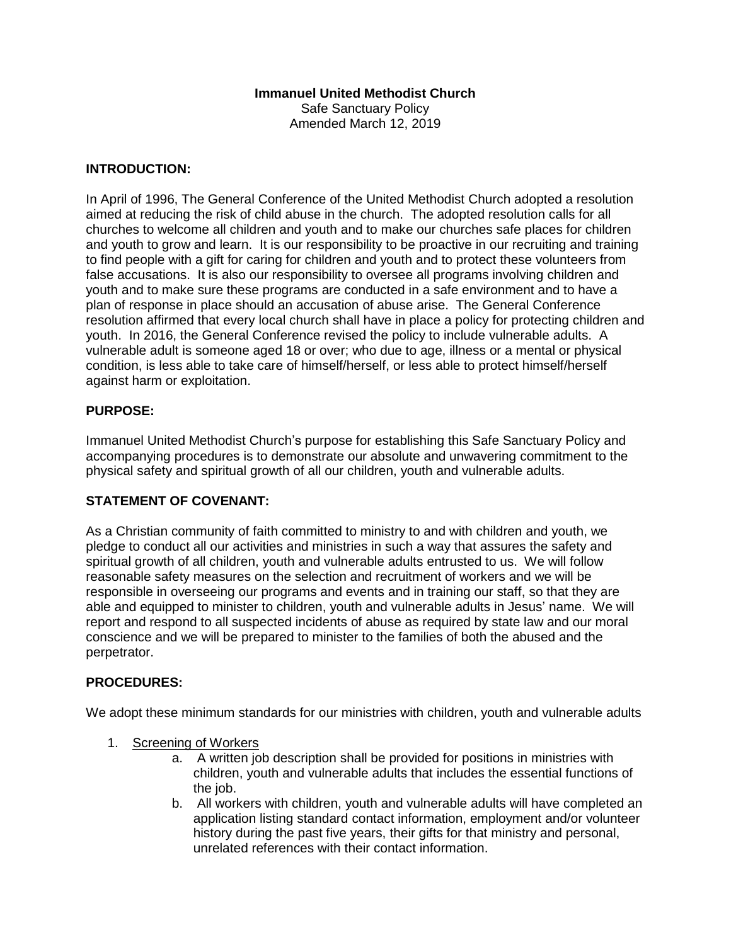## **Immanuel United Methodist Church**

Safe Sanctuary Policy Amended March 12, 2019

#### **INTRODUCTION:**

In April of 1996, The General Conference of the United Methodist Church adopted a resolution aimed at reducing the risk of child abuse in the church. The adopted resolution calls for all churches to welcome all children and youth and to make our churches safe places for children and youth to grow and learn. It is our responsibility to be proactive in our recruiting and training to find people with a gift for caring for children and youth and to protect these volunteers from false accusations. It is also our responsibility to oversee all programs involving children and youth and to make sure these programs are conducted in a safe environment and to have a plan of response in place should an accusation of abuse arise. The General Conference resolution affirmed that every local church shall have in place a policy for protecting children and youth. In 2016, the General Conference revised the policy to include vulnerable adults. A vulnerable adult is someone aged 18 or over; who due to age, illness or a mental or physical condition, is less able to take care of himself/herself, or less able to protect himself/herself against harm or exploitation.

### **PURPOSE:**

Immanuel United Methodist Church's purpose for establishing this Safe Sanctuary Policy and accompanying procedures is to demonstrate our absolute and unwavering commitment to the physical safety and spiritual growth of all our children, youth and vulnerable adults.

## **STATEMENT OF COVENANT:**

As a Christian community of faith committed to ministry to and with children and youth, we pledge to conduct all our activities and ministries in such a way that assures the safety and spiritual growth of all children, youth and vulnerable adults entrusted to us. We will follow reasonable safety measures on the selection and recruitment of workers and we will be responsible in overseeing our programs and events and in training our staff, so that they are able and equipped to minister to children, youth and vulnerable adults in Jesus' name. We will report and respond to all suspected incidents of abuse as required by state law and our moral conscience and we will be prepared to minister to the families of both the abused and the perpetrator.

#### **PROCEDURES:**

We adopt these minimum standards for our ministries with children, youth and vulnerable adults

- 1. Screening of Workers
	- a. A written job description shall be provided for positions in ministries with children, youth and vulnerable adults that includes the essential functions of the job.
	- b. All workers with children, youth and vulnerable adults will have completed an application listing standard contact information, employment and/or volunteer history during the past five years, their gifts for that ministry and personal, unrelated references with their contact information.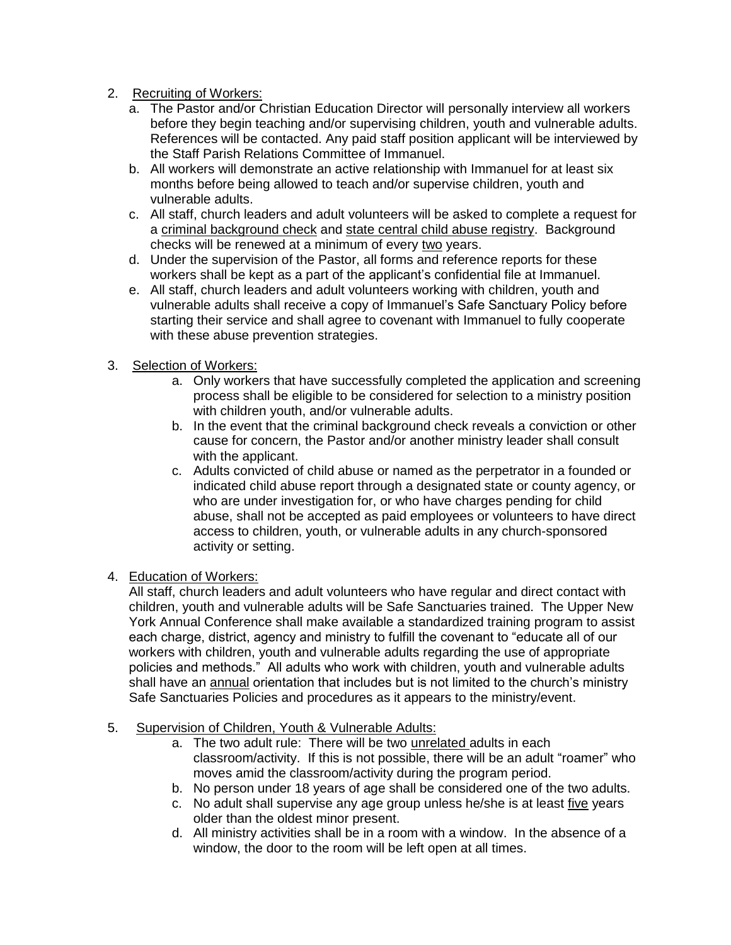- 2. Recruiting of Workers:
	- a. The Pastor and/or Christian Education Director will personally interview all workers before they begin teaching and/or supervising children, youth and vulnerable adults. References will be contacted. Any paid staff position applicant will be interviewed by the Staff Parish Relations Committee of Immanuel.
	- b. All workers will demonstrate an active relationship with Immanuel for at least six months before being allowed to teach and/or supervise children, youth and vulnerable adults.
	- c. All staff, church leaders and adult volunteers will be asked to complete a request for a criminal background check and state central child abuse registry. Background checks will be renewed at a minimum of every two years.
	- d. Under the supervision of the Pastor, all forms and reference reports for these workers shall be kept as a part of the applicant's confidential file at Immanuel.
	- e. All staff, church leaders and adult volunteers working with children, youth and vulnerable adults shall receive a copy of Immanuel's Safe Sanctuary Policy before starting their service and shall agree to covenant with Immanuel to fully cooperate with these abuse prevention strategies.

## 3. Selection of Workers:

- a. Only workers that have successfully completed the application and screening process shall be eligible to be considered for selection to a ministry position with children youth, and/or vulnerable adults.
- b. In the event that the criminal background check reveals a conviction or other cause for concern, the Pastor and/or another ministry leader shall consult with the applicant.
- c. Adults convicted of child abuse or named as the perpetrator in a founded or indicated child abuse report through a designated state or county agency, or who are under investigation for, or who have charges pending for child abuse, shall not be accepted as paid employees or volunteers to have direct access to children, youth, or vulnerable adults in any church-sponsored activity or setting.

# 4. Education of Workers:

All staff, church leaders and adult volunteers who have regular and direct contact with children, youth and vulnerable adults will be Safe Sanctuaries trained. The Upper New York Annual Conference shall make available a standardized training program to assist each charge, district, agency and ministry to fulfill the covenant to "educate all of our workers with children, youth and vulnerable adults regarding the use of appropriate policies and methods." All adults who work with children, youth and vulnerable adults shall have an annual orientation that includes but is not limited to the church's ministry Safe Sanctuaries Policies and procedures as it appears to the ministry/event.

### 5. Supervision of Children, Youth & Vulnerable Adults:

- a. The two adult rule: There will be two unrelated adults in each classroom/activity. If this is not possible, there will be an adult "roamer" who moves amid the classroom/activity during the program period.
- b. No person under 18 years of age shall be considered one of the two adults.
- c. No adult shall supervise any age group unless he/she is at least five years older than the oldest minor present.
- d. All ministry activities shall be in a room with a window. In the absence of a window, the door to the room will be left open at all times.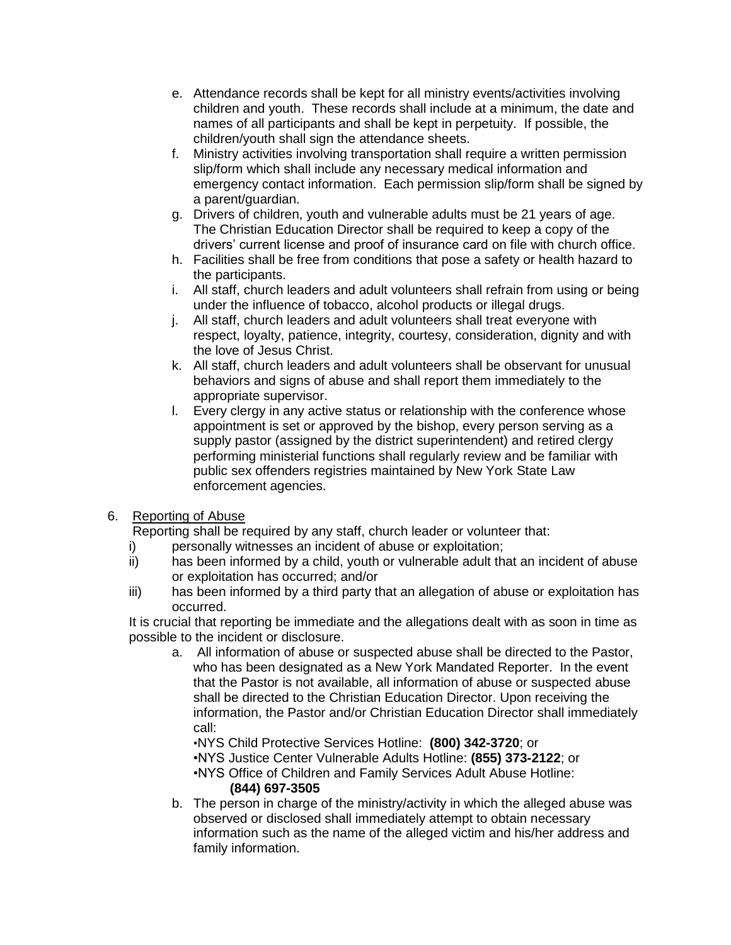- e. Attendance records shall be kept for all ministry events/activities involving children and youth. These records shall include at a minimum, the date and names of all participants and shall be kept in perpetuity. If possible, the children/youth shall sign the attendance sheets.
- f. Ministry activities involving transportation shall require a written permission slip/form which shall include any necessary medical information and emergency contact information. Each permission slip/form shall be signed by a parent/guardian.
- g. Drivers of children, youth and vulnerable adults must be 21 years of age. The Christian Education Director shall be required to keep a copy of the drivers' current license and proof of insurance card on file with church office.
- h. Facilities shall be free from conditions that pose a safety or health hazard to the participants.
- i. All staff, church leaders and adult volunteers shall refrain from using or being under the influence of tobacco, alcohol products or illegal drugs.
- j. All staff, church leaders and adult volunteers shall treat everyone with respect, loyalty, patience, integrity, courtesy, consideration, dignity and with the love of Jesus Christ.
- k. All staff, church leaders and adult volunteers shall be observant for unusual behaviors and signs of abuse and shall report them immediately to the appropriate supervisor.
- l. Every clergy in any active status or relationship with the conference whose appointment is set or approved by the bishop, every person serving as a supply pastor (assigned by the district superintendent) and retired clergy performing ministerial functions shall regularly review and be familiar with public sex offenders registries maintained by New York State Law enforcement agencies.

# 6. Reporting of Abuse

Reporting shall be required by any staff, church leader or volunteer that:

- i) personally witnesses an incident of abuse or exploitation;
- ii) has been informed by a child, youth or vulnerable adult that an incident of abuse or exploitation has occurred; and/or
- iii) has been informed by a third party that an allegation of abuse or exploitation has occurred.

It is crucial that reporting be immediate and the allegations dealt with as soon in time as possible to the incident or disclosure.

a. All information of abuse or suspected abuse shall be directed to the Pastor, who has been designated as a New York Mandated Reporter. In the event that the Pastor is not available, all information of abuse or suspected abuse shall be directed to the Christian Education Director. Upon receiving the information, the Pastor and/or Christian Education Director shall immediately call:

•NYS Child Protective Services Hotline: **(800) 342-3720**; or

•NYS Justice Center Vulnerable Adults Hotline: **(855) 373-2122**; or

•NYS Office of Children and Family Services Adult Abuse Hotline:

## **(844) 697-3505**

b. The person in charge of the ministry/activity in which the alleged abuse was observed or disclosed shall immediately attempt to obtain necessary information such as the name of the alleged victim and his/her address and family information.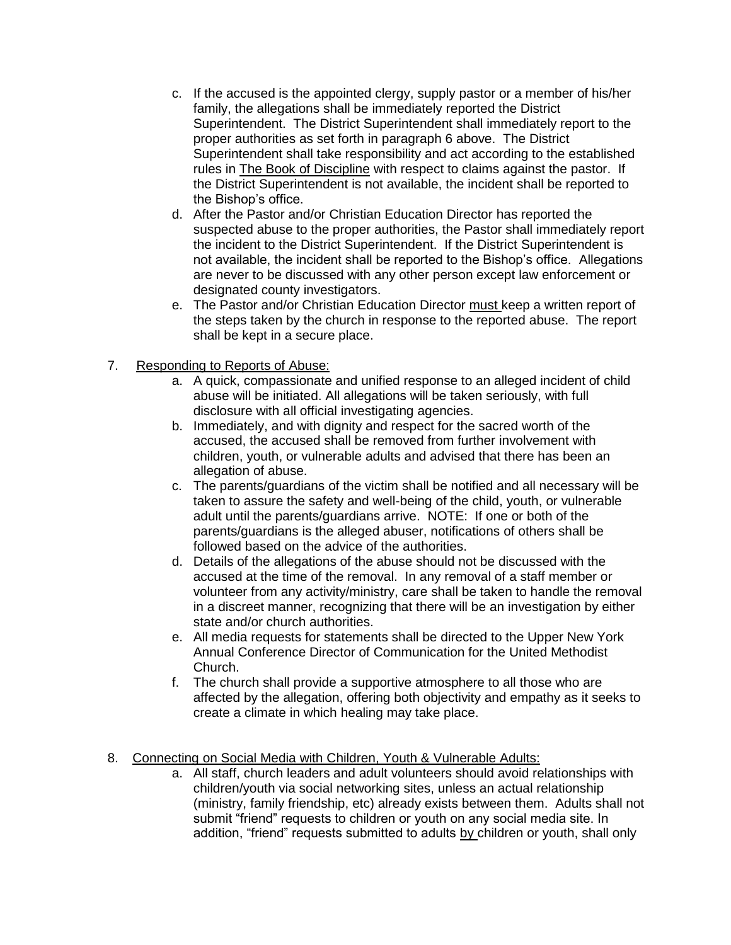- c. If the accused is the appointed clergy, supply pastor or a member of his/her family, the allegations shall be immediately reported the District Superintendent. The District Superintendent shall immediately report to the proper authorities as set forth in paragraph 6 above. The District Superintendent shall take responsibility and act according to the established rules in The Book of Discipline with respect to claims against the pastor. If the District Superintendent is not available, the incident shall be reported to the Bishop's office.
- d. After the Pastor and/or Christian Education Director has reported the suspected abuse to the proper authorities, the Pastor shall immediately report the incident to the District Superintendent. If the District Superintendent is not available, the incident shall be reported to the Bishop's office. Allegations are never to be discussed with any other person except law enforcement or designated county investigators.
- e. The Pastor and/or Christian Education Director must keep a written report of the steps taken by the church in response to the reported abuse. The report shall be kept in a secure place.

# 7. Responding to Reports of Abuse:

- a. A quick, compassionate and unified response to an alleged incident of child abuse will be initiated. All allegations will be taken seriously, with full disclosure with all official investigating agencies.
- b. Immediately, and with dignity and respect for the sacred worth of the accused, the accused shall be removed from further involvement with children, youth, or vulnerable adults and advised that there has been an allegation of abuse.
- c. The parents/guardians of the victim shall be notified and all necessary will be taken to assure the safety and well-being of the child, youth, or vulnerable adult until the parents/guardians arrive. NOTE: If one or both of the parents/guardians is the alleged abuser, notifications of others shall be followed based on the advice of the authorities.
- d. Details of the allegations of the abuse should not be discussed with the accused at the time of the removal. In any removal of a staff member or volunteer from any activity/ministry, care shall be taken to handle the removal in a discreet manner, recognizing that there will be an investigation by either state and/or church authorities.
- e. All media requests for statements shall be directed to the Upper New York Annual Conference Director of Communication for the United Methodist Church.
- f. The church shall provide a supportive atmosphere to all those who are affected by the allegation, offering both objectivity and empathy as it seeks to create a climate in which healing may take place.
- 8. Connecting on Social Media with Children, Youth & Vulnerable Adults:
	- a. All staff, church leaders and adult volunteers should avoid relationships with children/youth via social networking sites, unless an actual relationship (ministry, family friendship, etc) already exists between them. Adults shall not submit "friend" requests to children or youth on any social media site. In addition, "friend" requests submitted to adults by children or youth, shall only